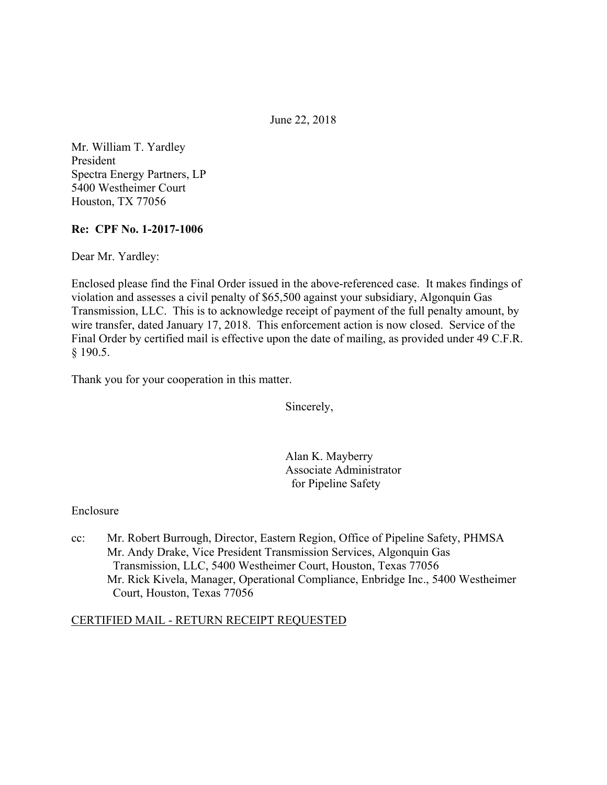June 22, 2018

Mr. William T. Yardley President Spectra Energy Partners, LP 5400 Westheimer Court Houston, TX 77056

#### **Re: CPF No. 1-2017-1006**

Dear Mr. Yardley:

Enclosed please find the Final Order issued in the above-referenced case. It makes findings of violation and assesses a civil penalty of \$65,500 against your subsidiary, Algonquin Gas Transmission, LLC. This is to acknowledge receipt of payment of the full penalty amount, by wire transfer, dated January 17, 2018. This enforcement action is now closed. Service of the Final Order by certified mail is effective upon the date of mailing, as provided under 49 C.F.R. § 190.5.

Thank you for your cooperation in this matter.

Sincerely,

Alan K. Mayberry Associate Administrator for Pipeline Safety

#### Enclosure

cc: Mr. Robert Burrough, Director, Eastern Region, Office of Pipeline Safety, PHMSA Mr. Andy Drake, Vice President Transmission Services, Algonquin Gas Transmission, LLC, 5400 Westheimer Court, Houston, Texas 77056 Mr. Rick Kivela, Manager, Operational Compliance, Enbridge Inc., 5400 Westheimer Court, Houston, Texas 77056

#### CERTIFIED MAIL - RETURN RECEIPT REQUESTED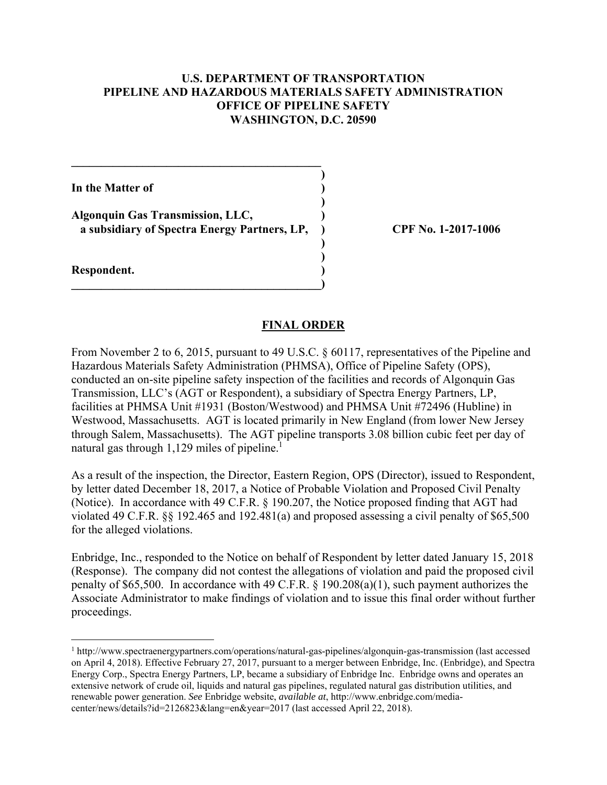### **U.S. DEPARTMENT OF TRANSPORTATION PIPELINE AND HAZARDOUS MATERIALS SAFETY ADMINISTRATION OFFICE OF PIPELINE SAFETY WASHINGTON, D.C. 20590**

**)**

 **)**

**) )**

**In the Matter of )**

**Algonquin Gas Transmission, LLC, ) a subsidiary of Spectra Energy Partners, LP, ) CPF No. 1-2017-1006** 

**\_\_\_\_\_\_\_\_\_\_\_\_\_\_\_\_\_\_\_\_\_\_\_\_\_\_\_\_\_\_\_\_\_\_\_\_\_\_\_\_\_\_)** 

 $\mathcal{L} = \{ \mathcal{L} \}$ 

**Respondent. )** 

1

#### **FINAL ORDER**

natural gas through 1,129 miles of pipeline.<sup>1</sup> From November 2 to 6, 2015, pursuant to 49 U.S.C. § 60117, representatives of the Pipeline and Hazardous Materials Safety Administration (PHMSA), Office of Pipeline Safety (OPS), conducted an on-site pipeline safety inspection of the facilities and records of Algonquin Gas Transmission, LLC's (AGT or Respondent), a subsidiary of Spectra Energy Partners, LP, facilities at PHMSA Unit #1931 (Boston/Westwood) and PHMSA Unit #72496 (Hubline) in Westwood, Massachusetts. AGT is located primarily in New England (from lower New Jersey through Salem, Massachusetts). The AGT pipeline transports 3.08 billion cubic feet per day of

As a result of the inspection, the Director, Eastern Region, OPS (Director), issued to Respondent, by letter dated December 18, 2017, a Notice of Probable Violation and Proposed Civil Penalty (Notice). In accordance with 49 C.F.R. § 190.207, the Notice proposed finding that AGT had violated 49 C.F.R. §§ 192.465 and 192.481(a) and proposed assessing a civil penalty of \$65,500 for the alleged violations.

 proceedings. Enbridge, Inc., responded to the Notice on behalf of Respondent by letter dated January 15, 2018 (Response). The company did not contest the allegations of violation and paid the proposed civil penalty of \$65,500. In accordance with 49 C.F.R. § 190.208(a)(1), such payment authorizes the Associate Administrator to make findings of violation and to issue this final order without further

<sup>&</sup>lt;sup>1</sup> http://www.spectraenergypartners.com/operations/natural-gas-pipelines/algonquin-gas-transmission (last accessed on April 4, 2018). Effective February 27, 2017, pursuant to a merger between Enbridge, Inc. (Enbridge), and Spectra Energy Corp., Spectra Energy Partners, LP, became a subsidiary of Enbridge Inc. Enbridge owns and operates an extensive network of crude oil, liquids and natural gas pipelines, regulated natural gas distribution utilities, and renewable power generation. *See* Enbridge website, *available at*, http://www.enbridge.com/mediacenter/news/details?id=2126823&lang=en&year=2017 (last accessed April 22, 2018).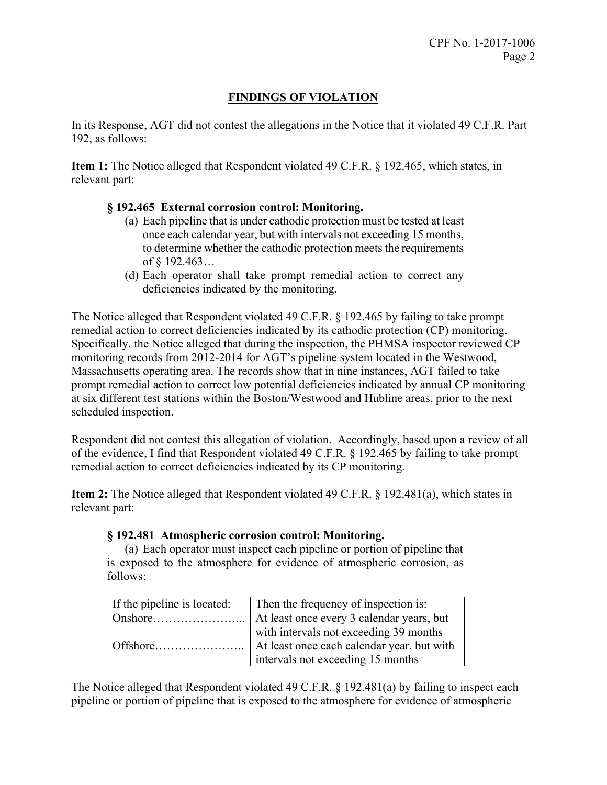# **FINDINGS OF VIOLATION**

In its Response, AGT did not contest the allegations in the Notice that it violated 49 C.F.R. Part 192, as follows:

**Item 1:** The Notice alleged that Respondent violated 49 C.F.R. § 192.465, which states, in relevant part:

## **§ 192.465 External corrosion control: Monitoring.**

- (a) Each pipeline that is under cathodic protection must be tested at least once each calendar year, but with intervals not exceeding 15 months, to determine whether the cathodic protection meets the requirements of § 192.463…
- (d) Each operator shall take prompt remedial action to correct any deficiencies indicated by the monitoring.

The Notice alleged that Respondent violated 49 C.F.R. § 192.465 by failing to take prompt remedial action to correct deficiencies indicated by its cathodic protection (CP) monitoring. Specifically, the Notice alleged that during the inspection, the PHMSA inspector reviewed CP monitoring records from 2012-2014 for AGT's pipeline system located in the Westwood, Massachusetts operating area. The records show that in nine instances, AGT failed to take prompt remedial action to correct low potential deficiencies indicated by annual CP monitoring at six different test stations within the Boston/Westwood and Hubline areas, prior to the next scheduled inspection.

Respondent did not contest this allegation of violation. Accordingly, based upon a review of all of the evidence, I find that Respondent violated 49 C.F.R. § 192.465 by failing to take prompt remedial action to correct deficiencies indicated by its CP monitoring.

**Item 2:** The Notice alleged that Respondent violated 49 C.F.R. § 192.481(a), which states in relevant part:

#### **§ 192.481 Atmospheric corrosion control: Monitoring.**

(a) Each operator must inspect each pipeline or portion of pipeline that is exposed to the atmosphere for evidence of atmospheric corrosion, as follows:

| If the pipeline is located: | Then the frequency of inspection is:   |
|-----------------------------|----------------------------------------|
|                             |                                        |
|                             | with intervals not exceeding 39 months |
|                             |                                        |
|                             | intervals not exceeding 15 months      |

The Notice alleged that Respondent violated 49 C.F.R. § 192.481(a) by failing to inspect each pipeline or portion of pipeline that is exposed to the atmosphere for evidence of atmospheric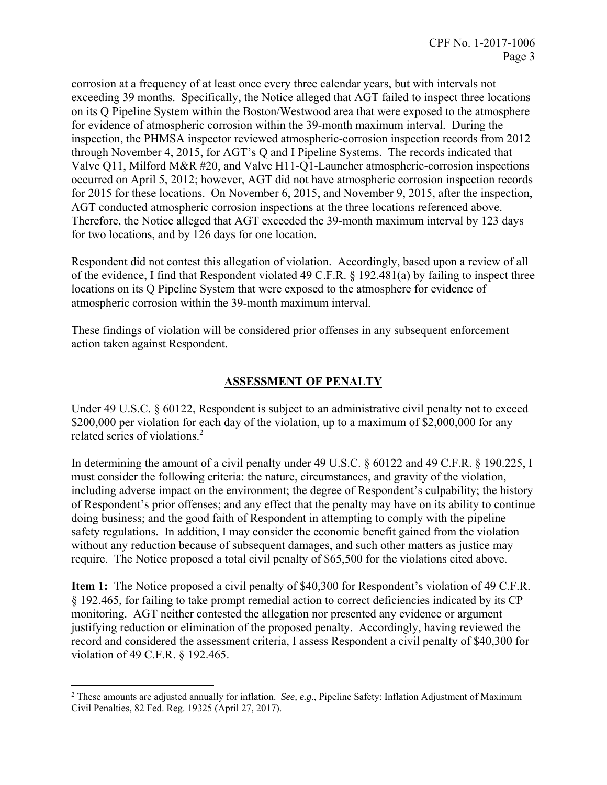corrosion at a frequency of at least once every three calendar years, but with intervals not exceeding 39 months. Specifically, the Notice alleged that AGT failed to inspect three locations on its Q Pipeline System within the Boston/Westwood area that were exposed to the atmosphere for evidence of atmospheric corrosion within the 39-month maximum interval. During the inspection, the PHMSA inspector reviewed atmospheric-corrosion inspection records from 2012 through November 4, 2015, for AGT's Q and I Pipeline Systems. The records indicated that Valve Q11, Milford M&R #20, and Valve H11-Q1-Launcher atmospheric-corrosion inspections occurred on April 5, 2012; however, AGT did not have atmospheric corrosion inspection records for 2015 for these locations. On November 6, 2015, and November 9, 2015, after the inspection, AGT conducted atmospheric corrosion inspections at the three locations referenced above. Therefore, the Notice alleged that AGT exceeded the 39-month maximum interval by 123 days for two locations, and by 126 days for one location.

Respondent did not contest this allegation of violation. Accordingly, based upon a review of all of the evidence, I find that Respondent violated 49 C.F.R. § 192.481(a) by failing to inspect three locations on its Q Pipeline System that were exposed to the atmosphere for evidence of atmospheric corrosion within the 39-month maximum interval.

These findings of violation will be considered prior offenses in any subsequent enforcement action taken against Respondent.

## **ASSESSMENT OF PENALTY**

related series of violations.<sup>2</sup> Under 49 U.S.C. § 60122, Respondent is subject to an administrative civil penalty not to exceed \$200,000 per violation for each day of the violation, up to a maximum of \$2,000,000 for any

In determining the amount of a civil penalty under 49 U.S.C. § 60122 and 49 C.F.R. § 190.225, I must consider the following criteria: the nature, circumstances, and gravity of the violation, including adverse impact on the environment; the degree of Respondent's culpability; the history of Respondent's prior offenses; and any effect that the penalty may have on its ability to continue doing business; and the good faith of Respondent in attempting to comply with the pipeline safety regulations. In addition, I may consider the economic benefit gained from the violation without any reduction because of subsequent damages, and such other matters as justice may require. The Notice proposed a total civil penalty of \$65,500 for the violations cited above.

**Item 1:** The Notice proposed a civil penalty of \$40,300 for Respondent's violation of 49 C.F.R. § 192.465, for failing to take prompt remedial action to correct deficiencies indicated by its CP monitoring. AGT neither contested the allegation nor presented any evidence or argument justifying reduction or elimination of the proposed penalty. Accordingly, having reviewed the record and considered the assessment criteria, I assess Respondent a civil penalty of \$40,300 for violation of 49 C.F.R. § 192.465.

 $\overline{a}$ 

<sup>2</sup> These amounts are adjusted annually for inflation. *See, e.g.*, Pipeline Safety: Inflation Adjustment of Maximum Civil Penalties, 82 Fed. Reg. 19325 (April 27, 2017).